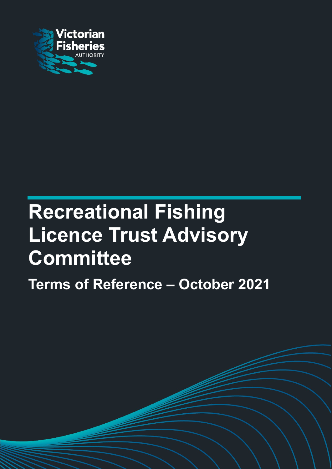

# Recreational Fishing Licence Trust Advisory **Committee**

Terms of Reference – October 2021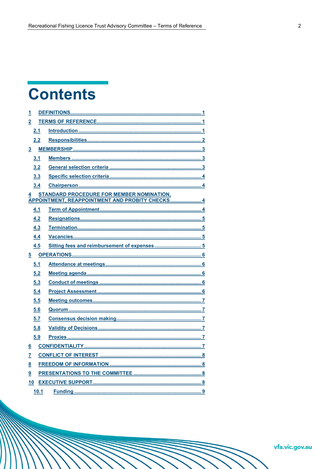# **Contents**

| $\overline{2}$<br>2.1<br>2.2<br>$\overline{\mathbf{3}}$<br>3.1<br>3.2<br>3.3<br>3.4<br><b>STANDARD PROCEDURE FOR MEMBER NOMINATION,</b><br>$\overline{4}$<br>APPOINTMENT, REAPPOINTMENT AND PROBITY CHECKS 4<br>4.1<br>4.2<br>4.3<br>4.4<br>4.5<br>$\overline{5}$<br>5.1<br>5.2<br>5.3<br>5.4<br>5.5<br>5.6<br>5.7<br>5.8<br>5.9<br>$\underline{6}$<br>$\underline{8}$<br>9<br>10 | $\mathbf{\overline{1}}$ |      |  |
|-----------------------------------------------------------------------------------------------------------------------------------------------------------------------------------------------------------------------------------------------------------------------------------------------------------------------------------------------------------------------------------|-------------------------|------|--|
|                                                                                                                                                                                                                                                                                                                                                                                   |                         |      |  |
|                                                                                                                                                                                                                                                                                                                                                                                   |                         |      |  |
|                                                                                                                                                                                                                                                                                                                                                                                   |                         |      |  |
|                                                                                                                                                                                                                                                                                                                                                                                   |                         |      |  |
|                                                                                                                                                                                                                                                                                                                                                                                   |                         |      |  |
|                                                                                                                                                                                                                                                                                                                                                                                   |                         |      |  |
|                                                                                                                                                                                                                                                                                                                                                                                   |                         |      |  |
|                                                                                                                                                                                                                                                                                                                                                                                   |                         |      |  |
|                                                                                                                                                                                                                                                                                                                                                                                   |                         |      |  |
|                                                                                                                                                                                                                                                                                                                                                                                   |                         |      |  |
|                                                                                                                                                                                                                                                                                                                                                                                   |                         |      |  |
|                                                                                                                                                                                                                                                                                                                                                                                   |                         |      |  |
|                                                                                                                                                                                                                                                                                                                                                                                   |                         |      |  |
|                                                                                                                                                                                                                                                                                                                                                                                   |                         |      |  |
|                                                                                                                                                                                                                                                                                                                                                                                   |                         |      |  |
|                                                                                                                                                                                                                                                                                                                                                                                   |                         |      |  |
|                                                                                                                                                                                                                                                                                                                                                                                   |                         |      |  |
|                                                                                                                                                                                                                                                                                                                                                                                   |                         |      |  |
|                                                                                                                                                                                                                                                                                                                                                                                   |                         |      |  |
|                                                                                                                                                                                                                                                                                                                                                                                   |                         |      |  |
|                                                                                                                                                                                                                                                                                                                                                                                   |                         |      |  |
|                                                                                                                                                                                                                                                                                                                                                                                   |                         |      |  |
|                                                                                                                                                                                                                                                                                                                                                                                   |                         |      |  |
|                                                                                                                                                                                                                                                                                                                                                                                   |                         |      |  |
|                                                                                                                                                                                                                                                                                                                                                                                   |                         |      |  |
|                                                                                                                                                                                                                                                                                                                                                                                   | $\overline{I}$          |      |  |
|                                                                                                                                                                                                                                                                                                                                                                                   |                         |      |  |
|                                                                                                                                                                                                                                                                                                                                                                                   |                         |      |  |
|                                                                                                                                                                                                                                                                                                                                                                                   |                         |      |  |
|                                                                                                                                                                                                                                                                                                                                                                                   |                         | 10.1 |  |

vfa.vic.gov.au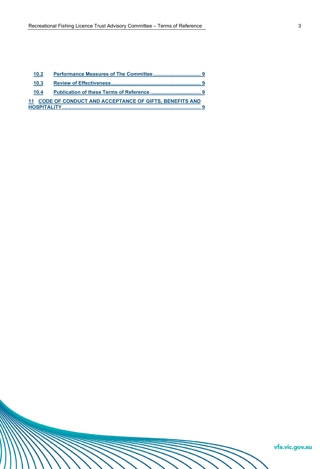| 10.3 |                                                          |  |
|------|----------------------------------------------------------|--|
| 10.4 |                                                          |  |
|      | 11 CODE OF CONDUCT AND ACCEPTANCE OF GIFTS. BENEFITS AND |  |
|      |                                                          |  |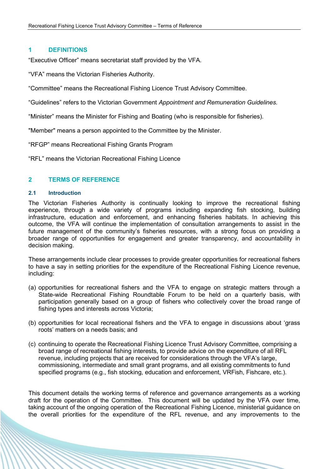# 1 DEFINITIONS

"Executive Officer" means secretariat staff provided by the VFA.

"VFA" means the Victorian Fisheries Authority.

"Committee" means the Recreational Fishing Licence Trust Advisory Committee.

"Guidelines" refers to the Victorian Government Appointment and Remuneration Guidelines.

"Minister" means the Minister for Fishing and Boating (who is responsible for fisheries).

"Member" means a person appointed to the Committee by the Minister.

"RFGP" means Recreational Fishing Grants Program

"RFL" means the Victorian Recreational Fishing Licence

# 2 TERMS OF REFERENCE

#### 2.1 Introduction

The Victorian Fisheries Authority is continually looking to improve the recreational fishing experience, through a wide variety of programs including expanding fish stocking, building infrastructure, education and enforcement, and enhancing fisheries habitats. In achieving this outcome, the VFA will continue the implementation of consultation arrangements to assist in the future management of the community's fisheries resources, with a strong focus on providing a broader range of opportunities for engagement and greater transparency, and accountability in decision making.

These arrangements include clear processes to provide greater opportunities for recreational fishers to have a say in setting priorities for the expenditure of the Recreational Fishing Licence revenue, including:

- (a) opportunities for recreational fishers and the VFA to engage on strategic matters through a State-wide Recreational Fishing Roundtable Forum to be held on a quarterly basis, with participation generally based on a group of fishers who collectively cover the broad range of fishing types and interests across Victoria;
- (b) opportunities for local recreational fishers and the VFA to engage in discussions about 'grass roots' matters on a needs basis; and
- (c) continuing to operate the Recreational Fishing Licence Trust Advisory Committee, comprising a broad range of recreational fishing interests, to provide advice on the expenditure of all RFL revenue, including projects that are received for considerations through the VFA's large, commissioning, intermediate and small grant programs, and all existing commitments to fund specified programs (e.g., fish stocking, education and enforcement, VRFish, Fishcare, etc.).

This document details the working terms of reference and governance arrangements as a working draft for the operation of the Committee. This document will be updated by the VFA over time, taking account of the ongoing operation of the Recreational Fishing Licence, ministerial guidance on the overall priorities for the expenditure of the RFL revenue, and any improvements to the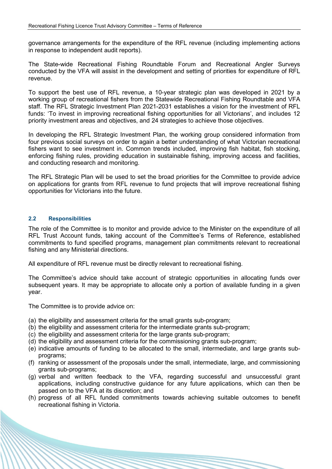governance arrangements for the expenditure of the RFL revenue (including implementing actions in response to independent audit reports).

The State-wide Recreational Fishing Roundtable Forum and Recreational Angler Surveys conducted by the VFA will assist in the development and setting of priorities for expenditure of RFL revenue.

To support the best use of RFL revenue, a 10-year strategic plan was developed in 2021 by a working group of recreational fishers from the Statewide Recreational Fishing Roundtable and VFA staff. The RFL Strategic Investment Plan 2021-2031 establishes a vision for the investment of RFL funds: 'To invest in improving recreational fishing opportunities for all Victorians', and includes 12 priority investment areas and objectives, and 24 strategies to achieve those objectives.

In developing the RFL Strategic Investment Plan, the working group considered information from four previous social surveys on order to again a better understanding of what Victorian recreational fishers want to see investment in. Common trends included, improving fish habitat, fish stocking, enforcing fishing rules, providing education in sustainable fishing, improving access and facilities, and conducting research and monitoring.

The RFL Strategic Plan will be used to set the broad priorities for the Committee to provide advice on applications for grants from RFL revenue to fund projects that will improve recreational fishing opportunities for Victorians into the future.

#### 2.2 Responsibilities

The role of the Committee is to monitor and provide advice to the Minister on the expenditure of all RFL Trust Account funds, taking account of the Committee's Terms of Reference, established commitments to fund specified programs, management plan commitments relevant to recreational fishing and any Ministerial directions.

All expenditure of RFL revenue must be directly relevant to recreational fishing.

The Committee's advice should take account of strategic opportunities in allocating funds over subsequent years. It may be appropriate to allocate only a portion of available funding in a given year.

The Committee is to provide advice on:

- (a) the eligibility and assessment criteria for the small grants sub-program;
- (b) the eligibility and assessment criteria for the intermediate grants sub-program;
- (c) the eligibility and assessment criteria for the large grants sub-program;
- (d) the eligibility and assessment criteria for the commissioning grants sub-program;
- (e) indicative amounts of funding to be allocated to the small, intermediate, and large grants subprograms;
- (f) ranking or assessment of the proposals under the small, intermediate, large, and commissioning grants sub-programs;
- (g) verbal and written feedback to the VFA, regarding successful and unsuccessful grant applications, including constructive guidance for any future applications, which can then be passed on to the VFA at its discretion; and
- (h) progress of all RFL funded commitments towards achieving suitable outcomes to benefit recreational fishing in Victoria.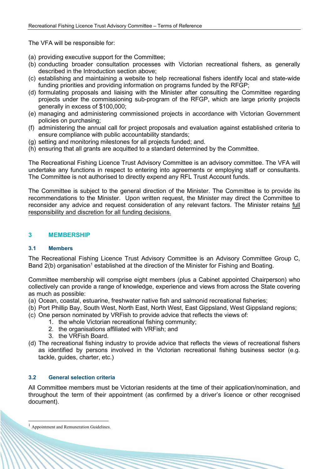The VFA will be responsible for:

- (a) providing executive support for the Committee;
- (b) conducting broader consultation processes with Victorian recreational fishers, as generally described in the Introduction section above;
- (c) establishing and maintaining a website to help recreational fishers identify local and state-wide funding priorities and providing information on programs funded by the RFGP;
- (d) formulating proposals and liaising with the Minister after consulting the Committee regarding projects under the commissioning sub-program of the RFGP, which are large priority projects generally in excess of \$100,000;
- (e) managing and administering commissioned projects in accordance with Victorian Government policies on purchasing;
- (f) administering the annual call for project proposals and evaluation against established criteria to ensure compliance with public accountability standards;
- (g) setting and monitoring milestones for all projects funded; and.
- (h) ensuring that all grants are acquitted to a standard determined by the Committee.

The Recreational Fishing Licence Trust Advisory Committee is an advisory committee. The VFA will undertake any functions in respect to entering into agreements or employing staff or consultants. The Committee is not authorised to directly expend any RFL Trust Account funds.

The Committee is subject to the general direction of the Minister. The Committee is to provide its recommendations to the Minister. Upon written request, the Minister may direct the Committee to reconsider any advice and request consideration of any relevant factors. The Minister retains full responsibility and discretion for all funding decisions.

# 3 MEMBERSHIP

#### 3.1 Members

The Recreational Fishing Licence Trust Advisory Committee is an Advisory Committee Group C, Band 2(b) organisation<sup>1</sup> established at the direction of the Minister for Fishing and Boating.

Committee membership will comprise eight members (plus a Cabinet appointed Chairperson) who collectively can provide a range of knowledge, experience and views from across the State covering as much as possible:

- (a) Ocean, coastal, estuarine, freshwater native fish and salmonid recreational fisheries;
- (b) Port Phillip Bay, South West, North East, North West, East Gippsland, West Gippsland regions;
- (c) One person nominated by VRFish to provide advice that reflects the views of:
	- 1. the whole Victorian recreational fishing community;
		- 2. the organisations affiliated with VRFish; and
		- 3. the VRFish Board.
- (d) The recreational fishing industry to provide advice that reflects the views of recreational fishers as identified by persons involved in the Victorian recreational fishing business sector (e.g. tackle, guides, charter, etc.)

# 3.2 General selection criteria

All Committee members must be Victorian residents at the time of their application/nomination, and throughout the term of their appointment (as confirmed by a driver's licence or other recognised document).

 $<sup>1</sup>$  Appointment and Remuneration Guidelines.</sup>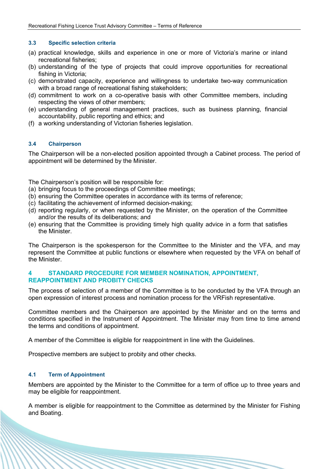#### 3.3 Specific selection criteria

- (a) practical knowledge, skills and experience in one or more of Victoria's marine or inland recreational fisheries;
- (b) understanding of the type of projects that could improve opportunities for recreational fishing in Victoria;
- (c) demonstrated capacity, experience and willingness to undertake two-way communication with a broad range of recreational fishing stakeholders;
- (d) commitment to work on a co-operative basis with other Committee members, including respecting the views of other members;
- (e) understanding of general management practices, such as business planning, financial accountability, public reporting and ethics; and
- (f) a working understanding of Victorian fisheries legislation.

#### 3.4 Chairperson

The Chairperson will be a non-elected position appointed through a Cabinet process. The period of appointment will be determined by the Minister.

The Chairperson's position will be responsible for:

- (a) bringing focus to the proceedings of Committee meetings;
- (b) ensuring the Committee operates in accordance with its terms of reference;
- (c) facilitating the achievement of informed decision-making;
- (d) reporting regularly, or when requested by the Minister, on the operation of the Committee and/or the results of its deliberations; and
- (e) ensuring that the Committee is providing timely high quality advice in a form that satisfies the Minister.

The Chairperson is the spokesperson for the Committee to the Minister and the VFA, and may represent the Committee at public functions or elsewhere when requested by the VFA on behalf of the Minister.

#### 4 STANDARD PROCEDURE FOR MEMBER NOMINATION, APPOINTMENT, REAPPOINTMENT AND PROBITY CHECKS

The process of selection of a member of the Committee is to be conducted by the VFA through an open expression of interest process and nomination process for the VRFish representative.

Committee members and the Chairperson are appointed by the Minister and on the terms and conditions specified in the Instrument of Appointment. The Minister may from time to time amend the terms and conditions of appointment.

A member of the Committee is eligible for reappointment in line with the Guidelines.

Prospective members are subject to probity and other checks.

#### 4.1 Term of Appointment

Members are appointed by the Minister to the Committee for a term of office up to three years and may be eligible for reappointment.

A member is eligible for reappointment to the Committee as determined by the Minister for Fishing and Boating.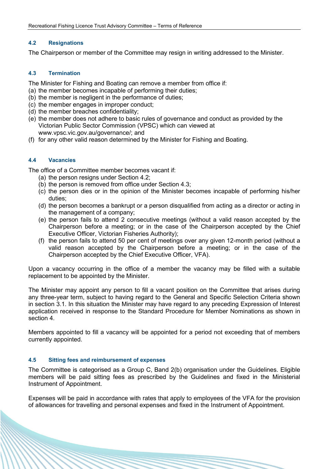#### 4.2 Resignations

The Chairperson or member of the Committee may resign in writing addressed to the Minister.

#### 4.3 Termination

The Minister for Fishing and Boating can remove a member from office if:

- (a) the member becomes incapable of performing their duties;
- (b) the member is negligent in the performance of duties;
- (c) the member engages in improper conduct;
- (d) the member breaches confidentiality;
- (e) the member does not adhere to basic rules of governance and conduct as provided by the Victorian Public Sector Commission (VPSC) which can viewed at www.vpsc.vic.gov.au/governance/; and
- (f) for any other valid reason determined by the Minister for Fishing and Boating.

# 4.4 Vacancies

The office of a Committee member becomes vacant if:

- (a) the person resigns under Section 4.2;
- (b) the person is removed from office under Section 4.3;
- (c) the person dies or in the opinion of the Minister becomes incapable of performing his/her duties;
- (d) the person becomes a bankrupt or a person disqualified from acting as a director or acting in the management of a company;
- (e) the person fails to attend 2 consecutive meetings (without a valid reason accepted by the Chairperson before a meeting; or in the case of the Chairperson accepted by the Chief Executive Officer, Victorian Fisheries Authority);
- (f) the person fails to attend 50 per cent of meetings over any given 12-month period (without a valid reason accepted by the Chairperson before a meeting; or in the case of the Chairperson accepted by the Chief Executive Officer, VFA).

Upon a vacancy occurring in the office of a member the vacancy may be filled with a suitable replacement to be appointed by the Minister.

The Minister may appoint any person to fill a vacant position on the Committee that arises during any three-year term, subject to having regard to the General and Specific Selection Criteria shown in section 3.1. In this situation the Minister may have regard to any preceding Expression of Interest application received in response to the Standard Procedure for Member Nominations as shown in section 4.

Members appointed to fill a vacancy will be appointed for a period not exceeding that of members currently appointed.

# 4.5 Sitting fees and reimbursement of expenses

The Committee is categorised as a Group C, Band 2(b) organisation under the Guidelines. Eligible members will be paid sitting fees as prescribed by the Guidelines and fixed in the Ministerial Instrument of Appointment.

Expenses will be paid in accordance with rates that apply to employees of the VFA for the provision of allowances for travelling and personal expenses and fixed in the Instrument of Appointment.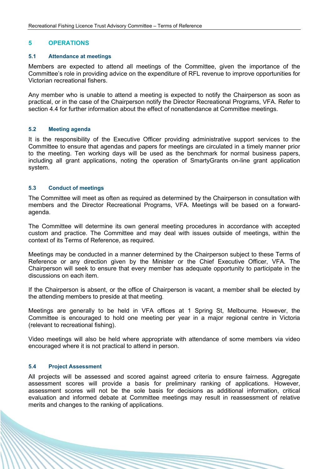#### 5 OPERATIONS

#### 5.1 Attendance at meetings

Members are expected to attend all meetings of the Committee, given the importance of the Committee's role in providing advice on the expenditure of RFL revenue to improve opportunities for Victorian recreational fishers.

Any member who is unable to attend a meeting is expected to notify the Chairperson as soon as practical, or in the case of the Chairperson notify the Director Recreational Programs, VFA. Refer to section 4.4 for further information about the effect of nonattendance at Committee meetings.

#### 5.2 Meeting agenda

It is the responsibility of the Executive Officer providing administrative support services to the Committee to ensure that agendas and papers for meetings are circulated in a timely manner prior to the meeting. Ten working days will be used as the benchmark for normal business papers, including all grant applications, noting the operation of SmartyGrants on-line grant application system.

#### 5.3 Conduct of meetings

The Committee will meet as often as required as determined by the Chairperson in consultation with members and the Director Recreational Programs, VFA. Meetings will be based on a forwardagenda.

The Committee will determine its own general meeting procedures in accordance with accepted custom and practice. The Committee and may deal with issues outside of meetings, within the context of its Terms of Reference, as required.

Meetings may be conducted in a manner determined by the Chairperson subject to these Terms of Reference or any direction given by the Minister or the Chief Executive Officer, VFA. The Chairperson will seek to ensure that every member has adequate opportunity to participate in the discussions on each item.

If the Chairperson is absent, or the office of Chairperson is vacant, a member shall be elected by the attending members to preside at that meeting.

Meetings are generally to be held in VFA offices at 1 Spring St, Melbourne. However, the Committee is encouraged to hold one meeting per year in a major regional centre in Victoria (relevant to recreational fishing).

Video meetings will also be held where appropriate with attendance of some members via video encouraged where it is not practical to attend in person.

#### 5.4 Project Assessment

All projects will be assessed and scored against agreed criteria to ensure fairness. Aggregate assessment scores will provide a basis for preliminary ranking of applications. However, assessment scores will not be the sole basis for decisions as additional information, critical evaluation and informed debate at Committee meetings may result in reassessment of relative merits and changes to the ranking of applications.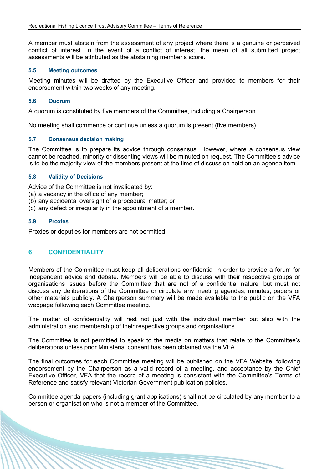A member must abstain from the assessment of any project where there is a genuine or perceived conflict of interest. In the event of a conflict of interest, the mean of all submitted project assessments will be attributed as the abstaining member's score.

#### 5.5 Meeting outcomes

Meeting minutes will be drafted by the Executive Officer and provided to members for their endorsement within two weeks of any meeting.

## 5.6 Quorum

A quorum is constituted by five members of the Committee, including a Chairperson.

No meeting shall commence or continue unless a quorum is present (five members).

#### 5.7 Consensus decision making

The Committee is to prepare its advice through consensus. However, where a consensus view cannot be reached, minority or dissenting views will be minuted on request. The Committee's advice is to be the majority view of the members present at the time of discussion held on an agenda item.

#### 5.8 Validity of Decisions

Advice of the Committee is not invalidated by:

- (a) a vacancy in the office of any member;
- (b) any accidental oversight of a procedural matter; or
- (c) any defect or irregularity in the appointment of a member.

#### 5.9 Proxies

Proxies or deputies for members are not permitted.

# 6 CONFIDENTIALITY

Members of the Committee must keep all deliberations confidential in order to provide a forum for independent advice and debate. Members will be able to discuss with their respective groups or organisations issues before the Committee that are not of a confidential nature, but must not discuss any deliberations of the Committee or circulate any meeting agendas, minutes, papers or other materials publicly. A Chairperson summary will be made available to the public on the VFA webpage following each Committee meeting.

The matter of confidentiality will rest not just with the individual member but also with the administration and membership of their respective groups and organisations.

The Committee is not permitted to speak to the media on matters that relate to the Committee's deliberations unless prior Ministerial consent has been obtained via the VFA.

The final outcomes for each Committee meeting will be published on the VFA Website, following endorsement by the Chairperson as a valid record of a meeting, and acceptance by the Chief Executive Officer, VFA that the record of a meeting is consistent with the Committee's Terms of Reference and satisfy relevant Victorian Government publication policies.

Committee agenda papers (including grant applications) shall not be circulated by any member to a person or organisation who is not a member of the Committee.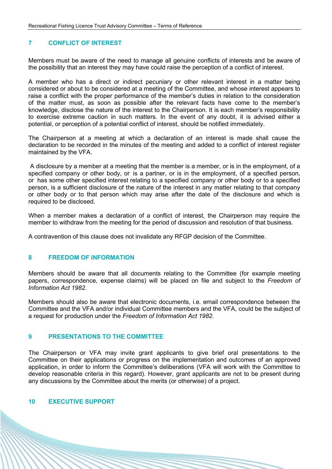# 7 CONFLICT OF INTEREST

Members must be aware of the need to manage all genuine conflicts of interests and be aware of the possibility that an interest they may have could raise the perception of a conflict of interest.

A member who has a direct or indirect pecuniary or other relevant interest in a matter being considered or about to be considered at a meeting of the Committee, and whose interest appears to raise a conflict with the proper performance of the member's duties in relation to the consideration of the matter must, as soon as possible after the relevant facts have come to the member's knowledge, disclose the nature of the interest to the Chairperson. It is each member's responsibility to exercise extreme caution in such matters. In the event of any doubt, it is advised either a potential, or perception of a potential conflict of interest, should be notified immediately.

The Chairperson at a meeting at which a declaration of an interest is made shall cause the declaration to be recorded in the minutes of the meeting and added to a conflict of interest register maintained by the VFA.

 A disclosure by a member at a meeting that the member is a member, or is in the employment, of a specified company or other body, or is a partner, or is in the employment, of a specified person, or has some other specified interest relating to a specified company or other body or to a specified person, is a sufficient disclosure of the nature of the interest in any matter relating to that company or other body or to that person which may arise after the date of the disclosure and which is required to be disclosed.

When a member makes a declaration of a conflict of interest, the Chairperson may require the member to withdraw from the meeting for the period of discussion and resolution of that business.

A contravention of this clause does not invalidate any RFGP decision of the Committee.

#### 8 FREEDOM OF INFORMATION

Members should be aware that all documents relating to the Committee (for example meeting papers, correspondence, expense claims) will be placed on file and subject to the Freedom of Information Act 1982.

Members should also be aware that electronic documents, i.e. email correspondence between the Committee and the VFA and/or individual Committee members and the VFA, could be the subject of a request for production under the Freedom of Information Act 1982.

#### 9 PRESENTATIONS TO THE COMMITTEE

The Chairperson or VFA may invite grant applicants to give brief oral presentations to the Committee on their applications or progress on the implementation and outcomes of an approved application, in order to inform the Committee's deliberations (VFA will work with the Committee to develop reasonable criteria in this regard). However, grant applicants are not to be present during any discussions by the Committee about the merits (or otherwise) of a project.

#### 10 EXECUTIVE SUPPORT